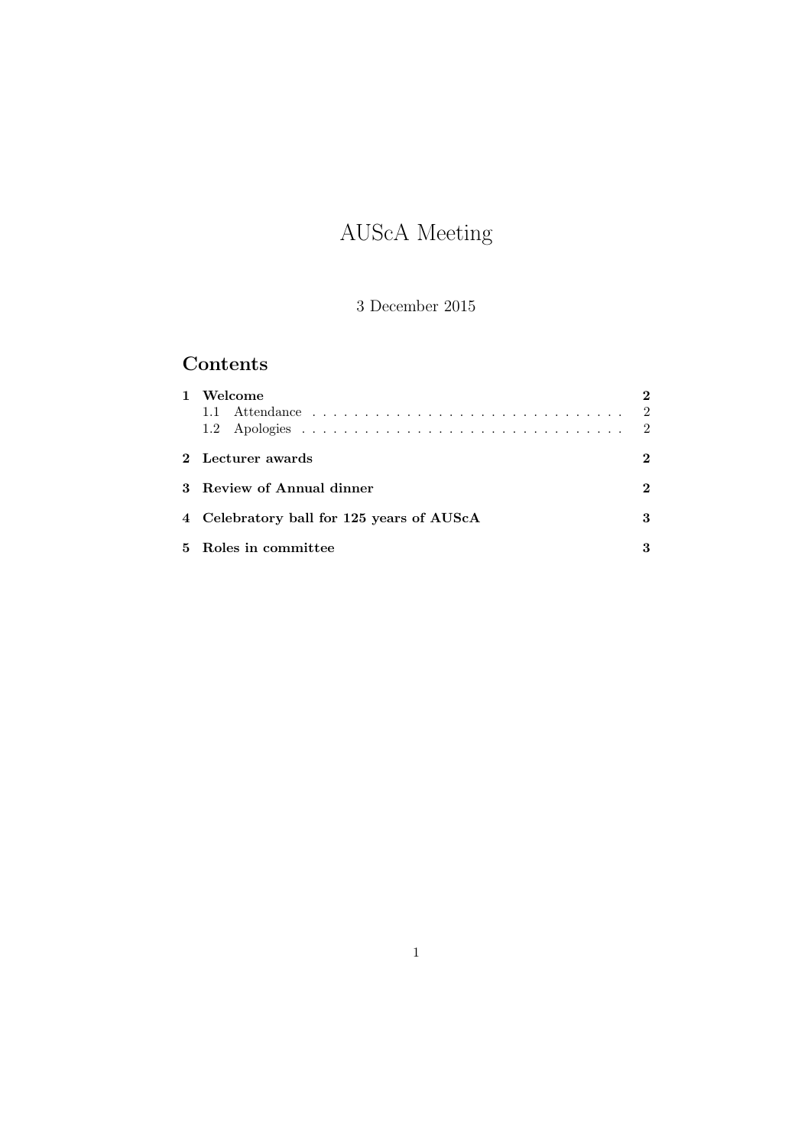# AUScA Meeting

# 3 December 2015

# Contents

| 1. | Welcome                                   |   |
|----|-------------------------------------------|---|
|    | 2 Lecturer awards                         | 2 |
|    | 3 Review of Annual dinner                 | 2 |
|    | 4 Celebratory ball for 125 years of AUScA | 3 |
|    | 5 Roles in committee                      |   |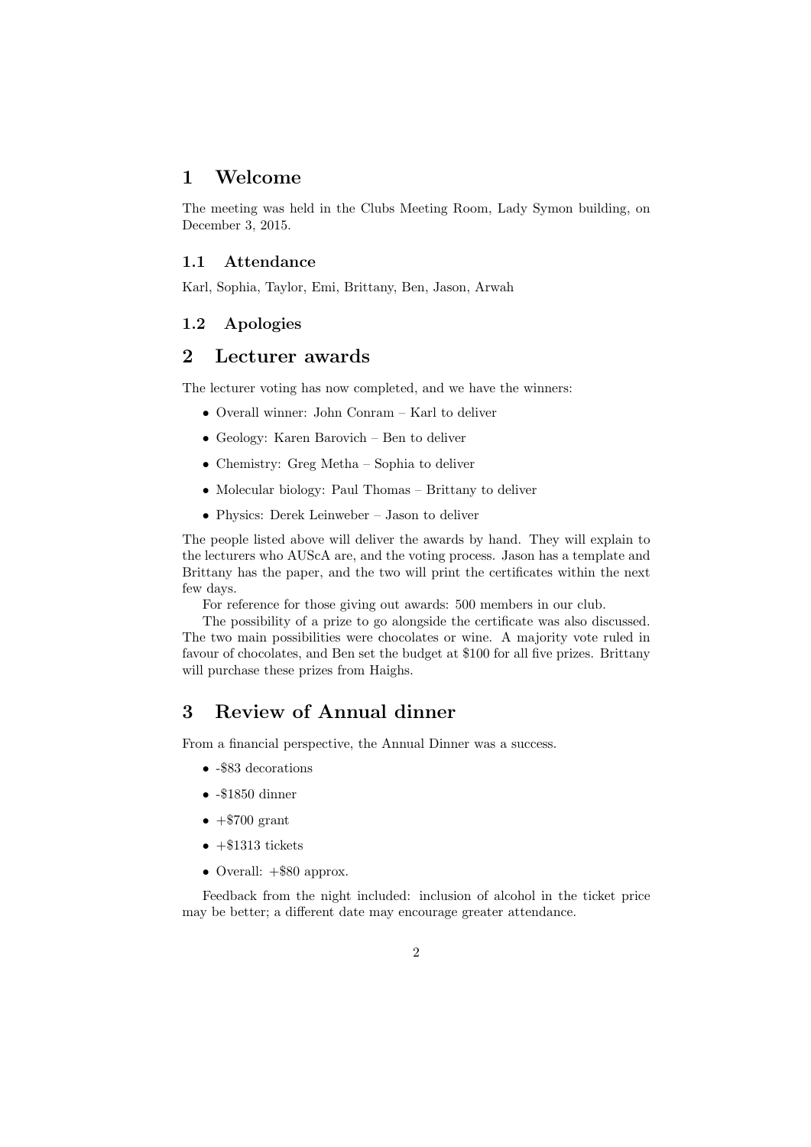## 1 Welcome

The meeting was held in the Clubs Meeting Room, Lady Symon building, on December 3, 2015.

#### 1.1 Attendance

Karl, Sophia, Taylor, Emi, Brittany, Ben, Jason, Arwah

#### 1.2 Apologies

# 2 Lecturer awards

The lecturer voting has now completed, and we have the winners:

- Overall winner: John Conram Karl to deliver
- Geology: Karen Barovich Ben to deliver
- Chemistry: Greg Metha Sophia to deliver
- Molecular biology: Paul Thomas Brittany to deliver
- Physics: Derek Leinweber Jason to deliver

The people listed above will deliver the awards by hand. They will explain to the lecturers who AUScA are, and the voting process. Jason has a template and Brittany has the paper, and the two will print the certificates within the next few days.

For reference for those giving out awards: 500 members in our club.

The possibility of a prize to go alongside the certificate was also discussed. The two main possibilities were chocolates or wine. A majority vote ruled in favour of chocolates, and Ben set the budget at \$100 for all five prizes. Brittany will purchase these prizes from Haighs.

# 3 Review of Annual dinner

From a financial perspective, the Annual Dinner was a success.

- -\$83 decorations
- -\$1850 dinner
- $\bullet$  +\$700 grant
- $\bullet$  +\$1313 tickets
- Overall:  $+$ \$80 approx.

Feedback from the night included: inclusion of alcohol in the ticket price may be better; a different date may encourage greater attendance.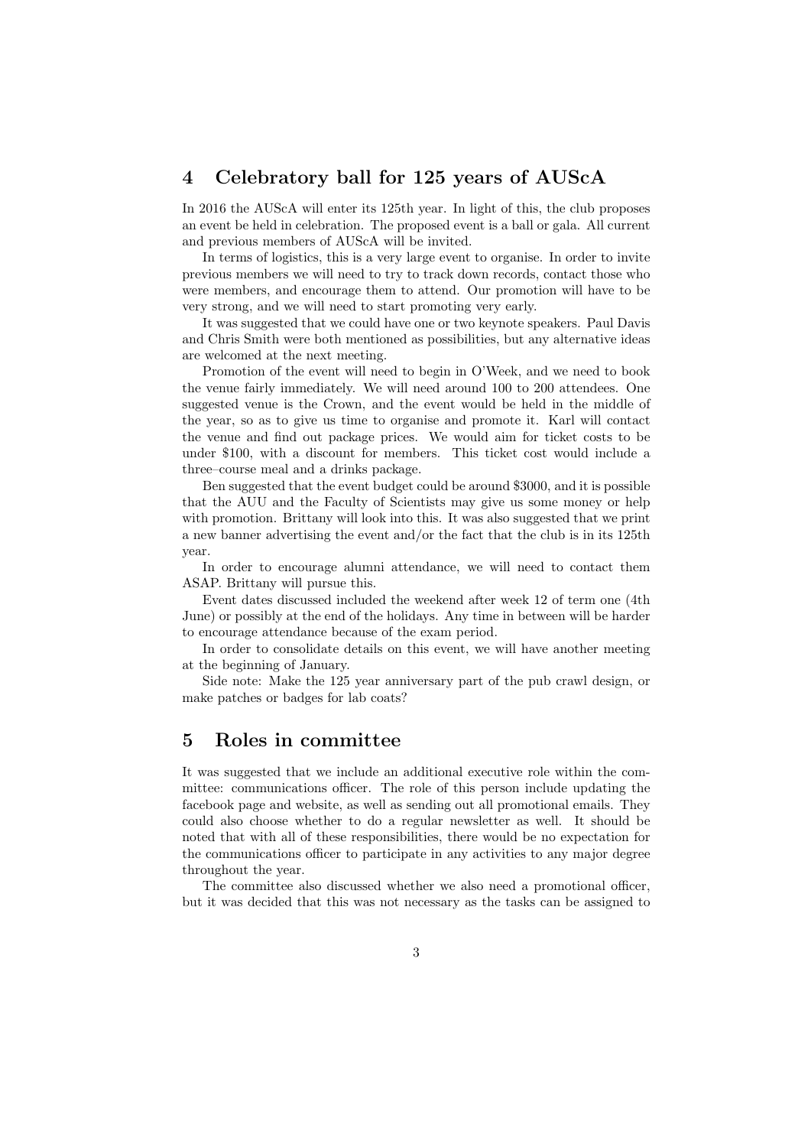# 4 Celebratory ball for 125 years of AUScA

In 2016 the AUScA will enter its 125th year. In light of this, the club proposes an event be held in celebration. The proposed event is a ball or gala. All current and previous members of AUScA will be invited.

In terms of logistics, this is a very large event to organise. In order to invite previous members we will need to try to track down records, contact those who were members, and encourage them to attend. Our promotion will have to be very strong, and we will need to start promoting very early.

It was suggested that we could have one or two keynote speakers. Paul Davis and Chris Smith were both mentioned as possibilities, but any alternative ideas are welcomed at the next meeting.

Promotion of the event will need to begin in O'Week, and we need to book the venue fairly immediately. We will need around 100 to 200 attendees. One suggested venue is the Crown, and the event would be held in the middle of the year, so as to give us time to organise and promote it. Karl will contact the venue and find out package prices. We would aim for ticket costs to be under \$100, with a discount for members. This ticket cost would include a three–course meal and a drinks package.

Ben suggested that the event budget could be around \$3000, and it is possible that the AUU and the Faculty of Scientists may give us some money or help with promotion. Brittany will look into this. It was also suggested that we print a new banner advertising the event and/or the fact that the club is in its 125th year.

In order to encourage alumni attendance, we will need to contact them ASAP. Brittany will pursue this.

Event dates discussed included the weekend after week 12 of term one (4th June) or possibly at the end of the holidays. Any time in between will be harder to encourage attendance because of the exam period.

In order to consolidate details on this event, we will have another meeting at the beginning of January.

Side note: Make the 125 year anniversary part of the pub crawl design, or make patches or badges for lab coats?

## 5 Roles in committee

It was suggested that we include an additional executive role within the committee: communications officer. The role of this person include updating the facebook page and website, as well as sending out all promotional emails. They could also choose whether to do a regular newsletter as well. It should be noted that with all of these responsibilities, there would be no expectation for the communications officer to participate in any activities to any major degree throughout the year.

The committee also discussed whether we also need a promotional officer, but it was decided that this was not necessary as the tasks can be assigned to